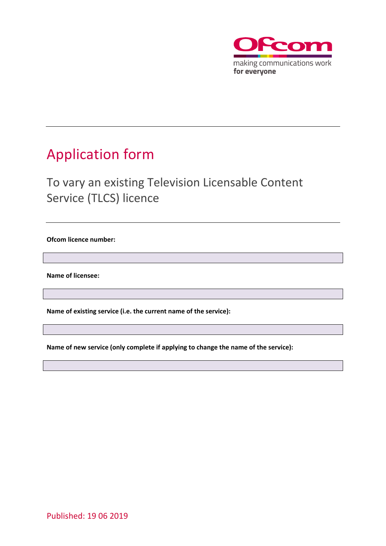

## <span id="page-0-0"></span>Application form

## To vary an existing Television Licensable Content Service (TLCS) licence

**Ofcom licence number:** 

**Name of licensee:**

**Name of existing service (i.e. the current name of the service):**

**Name of new service (only complete if applying to change the name of the service):**

Published: 19 06 2019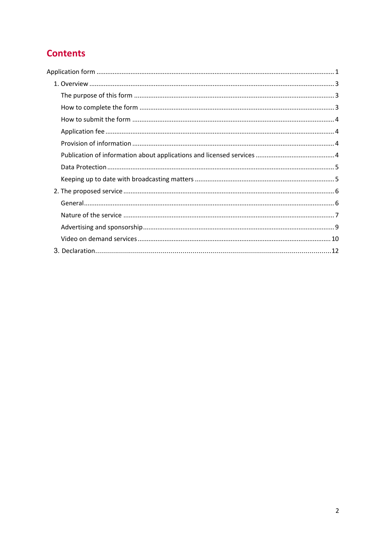## **Contents**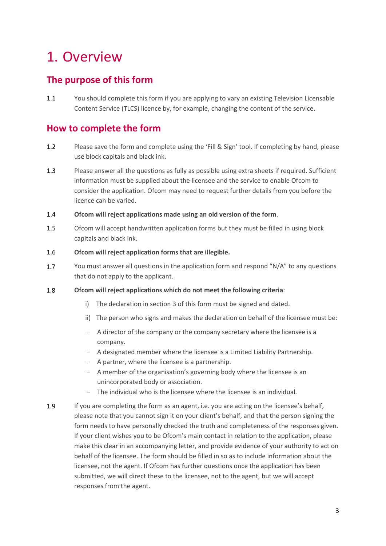# <span id="page-2-0"></span>1. Overview

## <span id="page-2-1"></span>**The purpose of this form**

1.1 You should complete this form if you are applying to vary an existing Television Licensable Content Service (TLCS) licence by, for example, changing the content of the service.

## <span id="page-2-2"></span>**How to complete the form**

- 1.2 Please save the form and complete using the 'Fill & Sign' tool. If completing by hand, please use block capitals and black ink.
- 1.3 Please answer all the questions as fully as possible using extra sheets if required. Sufficient information must be supplied about the licensee and the service to enable Ofcom to consider the application. Ofcom may need to request further details from you before the licence can be varied.
- 1.4 **Ofcom will reject applications made using an old version of the form**.
- 1.5 Ofcom will accept handwritten application forms but they must be filled in using block capitals and black ink.
- 1.6 **Ofcom will reject application forms that are illegible.**
- You must answer all questions in the application form and respond "N/A" to any questions  $1.7$ that do not apply to the applicant.
- 1.8 **Ofcom will reject applications which do not meet the following criteria**:
	- i) The declaration in section 3 of this form must be signed and dated.
	- ii) The person who signs and makes the declaration on behalf of the licensee must be:
	- A director of the company or the company secretary where the licensee is a company.
	- A designated member where the licensee is a Limited Liability Partnership.
	- A partner, where the licensee is a partnership.
	- A member of the organisation's governing body where the licensee is an unincorporated body or association.
	- The individual who is the licensee where the licensee is an individual.
- 1.9 If you are completing the form as an agent, i.e. you are acting on the licensee's behalf, please note that you cannot sign it on your client's behalf, and that the person signing the form needs to have personally checked the truth and completeness of the responses given. If your client wishes you to be Ofcom's main contact in relation to the application, please make this clear in an accompanying letter, and provide evidence of your authority to act on behalf of the licensee. The form should be filled in so as to include information about the licensee, not the agent. If Ofcom has further questions once the application has been submitted, we will direct these to the licensee, not to the agent, but we will accept responses from the agent.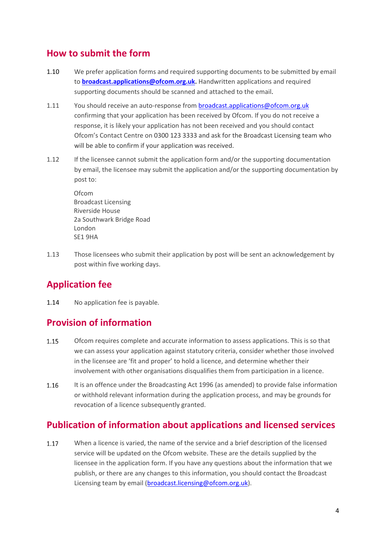## <span id="page-3-0"></span>**How to submit the form**

- 1.10 We prefer application forms and required supporting documents to be submitted by email to **[broadcast.applications@ofcom.org.uk.](mailto:broadcast.applications@ofcom.org.uk)** Handwritten applications and required supporting documents should be scanned and attached to the email.
- 1.11 You should receive an auto-response from [broadcast.applications@ofcom.org.uk](mailto:broadcast.applications@ofcom.org.uk)  confirming that your application has been received by Ofcom. If you do not receive a response, it is likely your application has not been received and you should contact Ofcom's Contact Centre on 0300 123 3333 and ask for the Broadcast Licensing team who will be able to confirm if your application was received.
- 1.12 If the licensee cannot submit the application form and/or the supporting documentation by email, the licensee may submit the application and/or the supporting documentation by post to:

Ofcom Broadcast Licensing Riverside House 2a Southwark Bridge Road London SE1 9HA

1.13 Those licensees who submit their application by post will be sent an acknowledgement by post within five working days.

## <span id="page-3-1"></span>**Application fee**

1.14 No application fee is payable.

## <span id="page-3-2"></span>**Provision of information**

- $1.15$ Ofcom requires complete and accurate information to assess applications. This is so that we can assess your application against statutory criteria, consider whether those involved in the licensee are 'fit and proper' to hold a licence, and determine whether their involvement with other organisations disqualifies them from participation in a licence.
- 1.16 It is an offence under the Broadcasting Act 1996 (as amended) to provide false information or withhold relevant information during the application process, and may be grounds for revocation of a licence subsequently granted.

## <span id="page-3-3"></span>**Publication of information about applications and licensed services**

1.17 When a licence is varied, the name of the service and a brief description of the licensed service will be updated on the Ofcom website. These are the details supplied by the licensee in the application form. If you have any questions about the information that we publish, or there are any changes to this information, you should contact the Broadcast Licensing team by email (broadcast.licensing@ofcom.org.uk).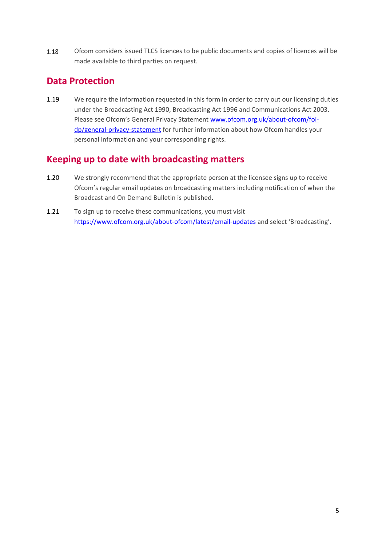1.18 Ofcom considers issued TLCS licences to be public documents and copies of licences will be made available to third parties on request.

## <span id="page-4-0"></span>**Data Protection**

1.19 We require the information requested in this form in order to carry out our licensing duties under the Broadcasting Act 1990, Broadcasting Act 1996 and Communications Act 2003. Please see Ofcom's General Privacy Statement [www.ofcom.org.uk/about-ofcom/foi](http://www.ofcom.org.uk/about-ofcom/foi-dp/general-privacy-statement)[dp/general-privacy-statement](http://www.ofcom.org.uk/about-ofcom/foi-dp/general-privacy-statement) for further information about how Ofcom handles your personal information and your corresponding rights.

## <span id="page-4-1"></span>**Keeping up to date with broadcasting matters**

- 1.20 We strongly recommend that the appropriate person at the licensee signs up to receive Ofcom's regular email updates on broadcasting matters including notification of when the Broadcast and On Demand Bulletin is published.
- 1.21 To sign up to receive these communications, you must visit <https://www.ofcom.org.uk/about-ofcom/latest/email-updates> and select 'Broadcasting'.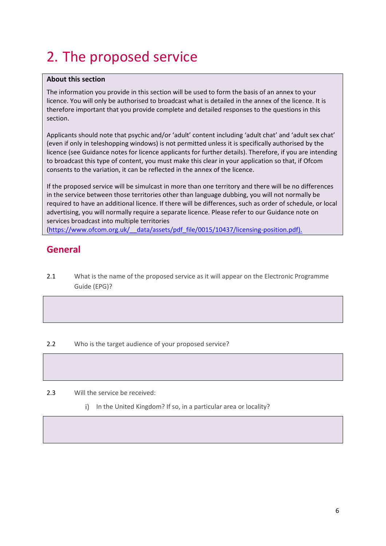# <span id="page-5-0"></span>2. The proposed service

#### **About this section**

The information you provide in this section will be used to form the basis of an annex to your licence. You will only be authorised to broadcast what is detailed in the annex of the licence. It is therefore important that you provide complete and detailed responses to the questions in this section.

Applicants should note that psychic and/or 'adult' content including 'adult chat' and 'adult sex chat' (even if only in teleshopping windows) is not permitted unless it is specifically authorised by the licence (see Guidance notes for licence applicants for further details). Therefore, if you are intending to broadcast this type of content, you must make this clear in your application so that, if Ofcom consents to the variation, it can be reflected in the annex of the licence.

If the proposed service will be simulcast in more than one territory and there will be no differences in the service between those territories other than language dubbing, you will not normally be required to have an additional licence. If there will be differences, such as order of schedule, or local advertising, you will normally require a separate licence. Please refer to our Guidance note on services broadcast into multiple territories [\(https://www.ofcom.org.uk/\\_\\_data/assets/pdf\\_file/0015/10437/licensing-position.pdf\)](https://www.ofcom.org.uk/__data/assets/pdf_file/0015/10437/licensing-position.pdf).

## <span id="page-5-1"></span>**General**

2.1 What is the name of the proposed service as it will appear on the Electronic Programme Guide (EPG)?

#### 2.2 Who is the target audience of your proposed service?

#### 2.3 Will the service be received:

i) In the United Kingdom? If so, in a particular area or locality?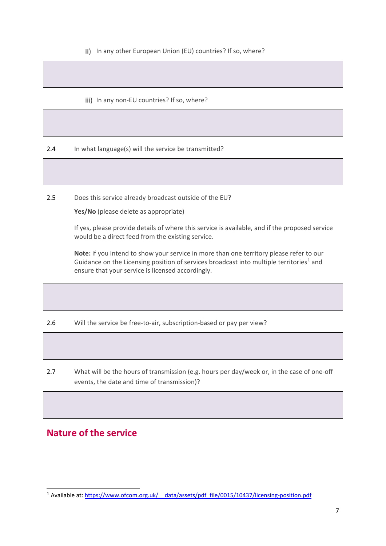- ii) In any other European Union (EU) countries? If so, where?
- iii) In any non-EU countries? If so, where?

2.4 In what language(s) will the service be transmitted?

2.5 Does this service already broadcast outside of the EU?

**Yes/No** (please delete as appropriate)

If yes, please provide details of where this service is available, and if the proposed service would be a direct feed from the existing service.

**Note:** if you intend to show your service in more than one territory please refer to our Guidance on the Licensing position of services broadcast into multiple territories<sup>[1](#page-6-1)</sup> and ensure that your service is licensed accordingly.

2.6 Will the service be free-to-air, subscription-based or pay per view?

2.7 What will be the hours of transmission (e.g. hours per day/week or, in the case of one-off events, the date and time of transmission)?

## <span id="page-6-0"></span>**Nature of the service**

<span id="page-6-1"></span><sup>&</sup>lt;sup>1</sup> Available at: https://www.ofcom.org.uk/ data/assets/pdf\_file/0015/10437/licensing-position.pdf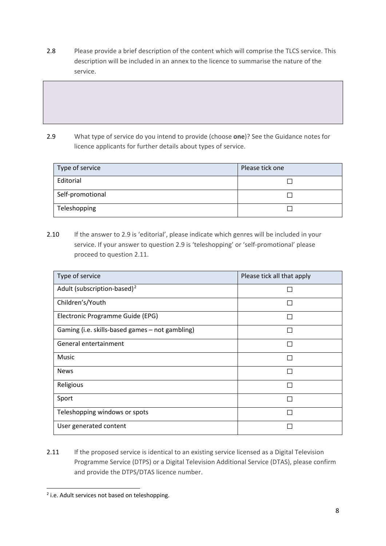2.8 Please provide a brief description of the content which will comprise the TLCS service. This description will be included in an annex to the licence to summarise the nature of the service.

2.9 What type of service do you intend to provide (choose **one**)? See the Guidance notes for licence applicants for further details about types of service.

| Type of service  | Please tick one |
|------------------|-----------------|
| Editorial        |                 |
| Self-promotional |                 |
| Teleshopping     |                 |

2.10 If the answer to 2.9 is 'editorial', please indicate which genres will be included in your service. If your answer to question 2.9 is 'teleshopping' or 'self-promotional' please proceed to question 2.11.

| Type of service                                 | Please tick all that apply |
|-------------------------------------------------|----------------------------|
| Adult (subscription-based) <sup>2</sup>         |                            |
| Children's/Youth                                |                            |
| Electronic Programme Guide (EPG)                |                            |
| Gaming (i.e. skills-based games - not gambling) |                            |
| General entertainment                           |                            |
| <b>Music</b>                                    |                            |
| <b>News</b>                                     |                            |
| Religious                                       |                            |
| Sport                                           |                            |
| Teleshopping windows or spots                   |                            |
| User generated content                          |                            |

2.11 If the proposed service is identical to an existing service licensed as a Digital Television Programme Service (DTPS) or a Digital Television Additional Service (DTAS), please confirm and provide the DTPS/DTAS licence number.

<span id="page-7-0"></span> $2$  i.e. Adult services not based on teleshopping.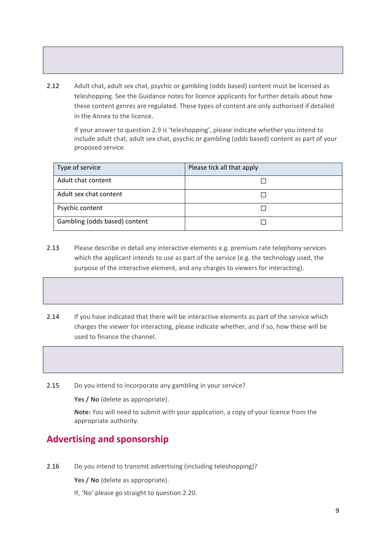2.12 Adult chat, adult sex chat, psychic or gambling (odds based) content must be licensed as teleshopping. See the Guidance notes for licence applicants for further details about how these content genres are regulated. These types of content are only authorised if detailed in the Annex to the licence.

If your answer to question 2.9 is 'teleshopping', please indicate whether you intend to include adult chat, adult sex chat, psychic or gambling (odds based) content as part of your proposed service.

| Type of service               | Please tick all that apply |
|-------------------------------|----------------------------|
| Adult chat content            |                            |
| Adult sex chat content        |                            |
| Psychic content               |                            |
| Gambling (odds based) content |                            |

- 2.13 Please describe in detail any interactive elements e.g. premium rate telephony services which the applicant intends to use as part of the service (e.g. the technology used, the purpose of the interactive element, and any charges to viewers for interacting).
- 2.14 If you have indicated that there will be interactive elements as part of the service which charges the viewer for interacting, please indicate whether, and if so, how these will be used to finance the channel.
- 2.15 Do you intend to incorporate any gambling in your service?

**Yes / No** (delete as appropriate).

**Note:** You will need to submit with your application, a copy of your licence from the appropriate authority.

## <span id="page-8-0"></span>**Advertising and sponsorship**

2.16 Do you intend to transmit advertising (including teleshopping)?

**Yes / No** (delete as appropriate).

If, 'No' please go straight to question 2.20.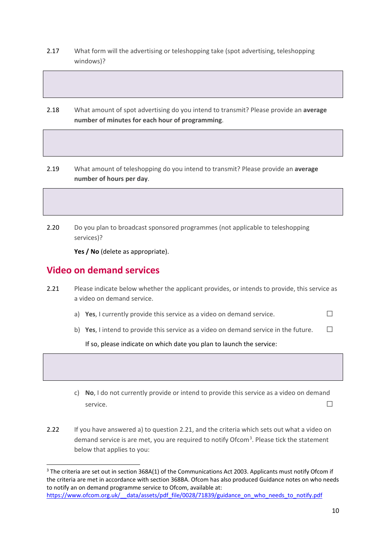- 2.17 What form will the advertising or teleshopping take (spot advertising, teleshopping windows)?
- 2.18 What amount of spot advertising do you intend to transmit? Please provide an **average number of minutes for each hour of programming**.
- 2.19 What amount of teleshopping do you intend to transmit? Please provide an **average number of hours per day**.
- 2.20 Do you plan to broadcast sponsored programmes (not applicable to teleshopping services)?

**Yes / No** (delete as appropriate).

### <span id="page-9-0"></span>**Video on demand services**

- 2.21 Please indicate below whether the applicant provides, or intends to provide, this service as a video on demand service.
	- a) **Yes**, I currently provide this service as a video on demand service.  $\Box$
	- b) **Yes**, I intend to provide this service as a video on demand service in the future.  $\Box$

If so, please indicate on which date you plan to launch the service:

- c) **No**, I do not currently provide or intend to provide this service as a video on demand service.  $\Box$
- 2.22 If you have answered a) to question 2.21, and the criteria which sets out what a video on demand service is are met, you are required to notify Ofcom<sup>[3](#page-9-1)</sup>. Please tick the statement below that applies to you:

<span id="page-9-1"></span><sup>&</sup>lt;sup>3</sup> The criteria are set out in section 368A(1) of the Communications Act 2003. Applicants must notify Ofcom if the criteria are met in accordance with section 368BA. Ofcom has also produced Guidance notes on who needs to notify an on demand programme service to Ofcom, available at: https://www.ofcom.org.uk/ data/assets/pdf file/0028/71839/guidance on who needs to notify.pdf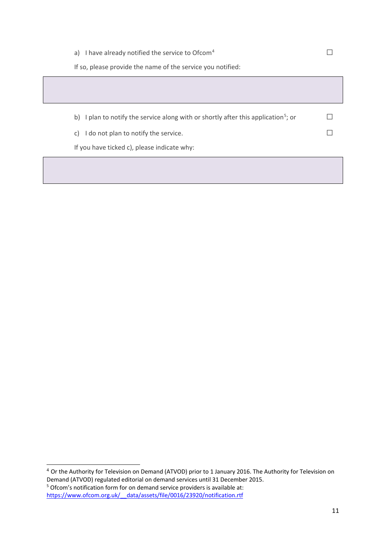| a) I have already notified the service to Ofcom $4$                                            |  |
|------------------------------------------------------------------------------------------------|--|
| If so, please provide the name of the service you notified:                                    |  |
|                                                                                                |  |
|                                                                                                |  |
| b) I plan to notify the service along with or shortly after this application <sup>5</sup> ; or |  |
| I do not plan to notify the service.<br>C)                                                     |  |
| If you have ticked c), please indicate why:                                                    |  |

<span id="page-10-1"></span><span id="page-10-0"></span><sup>4</sup> Or the Authority for Television on Demand (ATVOD) prior to 1 January 2016. The Authority for Television on Demand (ATVOD) regulated editorial on demand services until 31 December 2015. <sup>5</sup> Ofcom's notification form for on demand service providers is available at: https://www.ofcom.org.uk/ data/assets/file/0016/23920/notification.rtf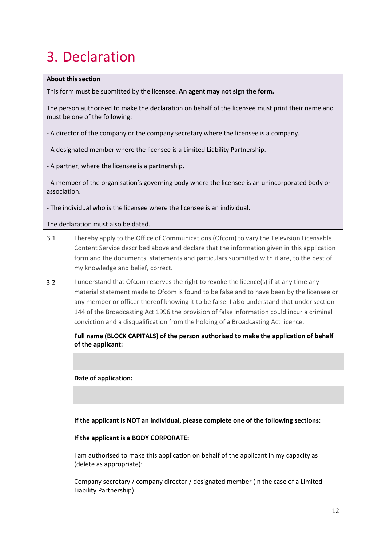# <span id="page-11-0"></span>3. Declaration

#### **About this section**

This form must be submitted by the licensee. **An agent may not sign the form.**

The person authorised to make the declaration on behalf of the licensee must print their name and must be one of the following:

- A director of the company or the company secretary where the licensee is a company.

- A designated member where the licensee is a Limited Liability Partnership.

- A partner, where the licensee is a partnership.

- A member of the organisation's governing body where the licensee is an unincorporated body or association.

- The individual who is the licensee where the licensee is an individual.

The declaration must also be dated.

- 3.1 I hereby apply to the Office of Communications (Ofcom) to vary the Television Licensable Content Service described above and declare that the information given in this application form and the documents, statements and particulars submitted with it are, to the best of my knowledge and belief, correct.
- $3.2$ I understand that Ofcom reserves the right to revoke the licence(s) if at any time any material statement made to Ofcom is found to be false and to have been by the licensee or any member or officer thereof knowing it to be false. I also understand that under section 144 of the Broadcasting Act 1996 the provision of false information could incur a criminal conviction and a disqualification from the holding of a Broadcasting Act licence.

#### **Full name (BLOCK CAPITALS) of the person authorised to make the application of behalf of the applicant:**

#### **Date of application:**

**If the applicant is NOT an individual, please complete one of the following sections:**

#### **If the applicant is a BODY CORPORATE:**

I am authorised to make this application on behalf of the applicant in my capacity as (delete as appropriate):

Company secretary / company director / designated member (in the case of a Limited Liability Partnership)